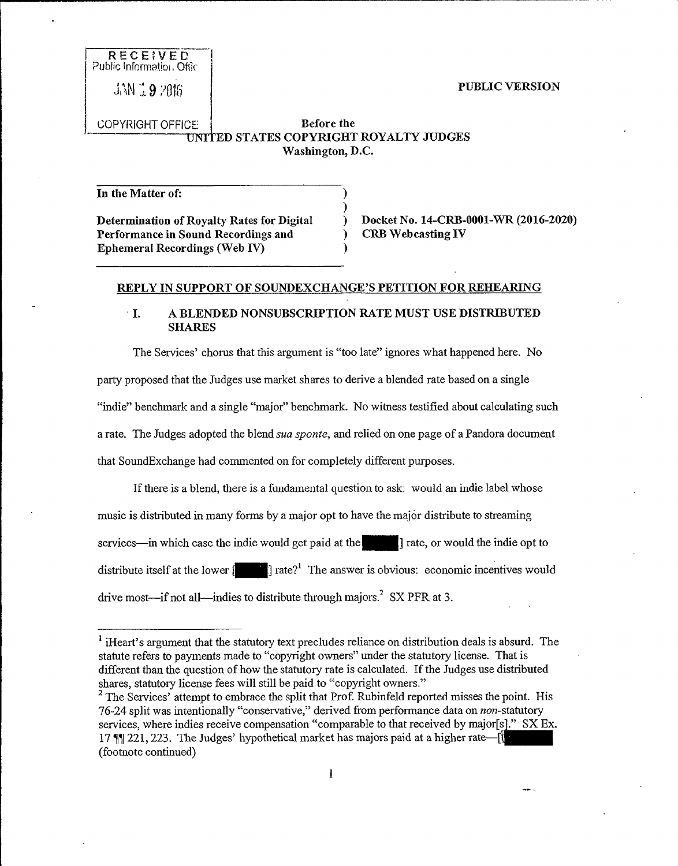#### PUBLIC VERSION

**RECE;VED** Public Information, Offic

JAN 19 2016

COPYRIGHT OFFICE UNIT KD STATES COPYRIGHT ROYALTY JUDGES Before the Washington, D.C.

> ) )

)

In the Matter of: Determination of Royalty Rates for Digital Performance in Sound Recordings and Ephemeral Recordings (Web IV)

) Docket No. 14-CRB-0001-WR (2016-2020) ) CRB Web casting IV

#### REPLY IN SUPPORT OF SOUNDEXCHANGE'S PETITION FOR REHEARING

### I. A BLENDED NONSUBSCRIPTION RATE MUST USK DISTRIBUTED **SHARES**

The Services' chorus that this argument is "too late" ignores what happened here. No party proposed that the Judges use market shares to derive a blended rate based on a single "indie" benchmark and a single "major" benchmark. No witness testified about calculating such a rate. The Judges adopted the blend *sua sponte*, and relied on one page of a Pandora document that SoundExchange had commented on for completely different purposes.

If there is a blend, there is a fundamental question to ask: would an indie label whose music is distributed in many forms by a major opt to have the major distribute to streaming services—in which case the indie would get paid at the  $\vert$  rate, or would the indie opt to distribute itself at the lower  $[$   $]$  rate?<sup>1</sup> The answer is obvious: economic incentives would drive most—if not all—indies to distribute through majors.<sup>2</sup> SX PFR at 3.

<sup>&</sup>lt;sup>1</sup> iHeart's argument that the statutory text precludes reliance on distribution deals is absurd. The statute refers to payments made to "copyright owners" under the statutory license. That is different than the question of how the statutory rate is calculated. If the Judges use distributed shares, statutory license fees will still be paid to "copyright owners."

<sup>&</sup>lt;sup>2</sup> The Services' attempt to embrace the split that Prof. Rubinfeld reported misses the point. His 76-24 split was intentionally "conservative," derived from performance data on non-statutory<br>services, where indies receive compensation "comparable to that received by major[s]." SX Ex<br>17  $\P$ ][221, 223. The Judges' hypoth services, where indies receive compensation "comparable to that received by major[s]." SX Ex. 17  $\P$  221, 223. The Judges' hypothetical market has majors paid at a higher rate— $\|\cdot\|$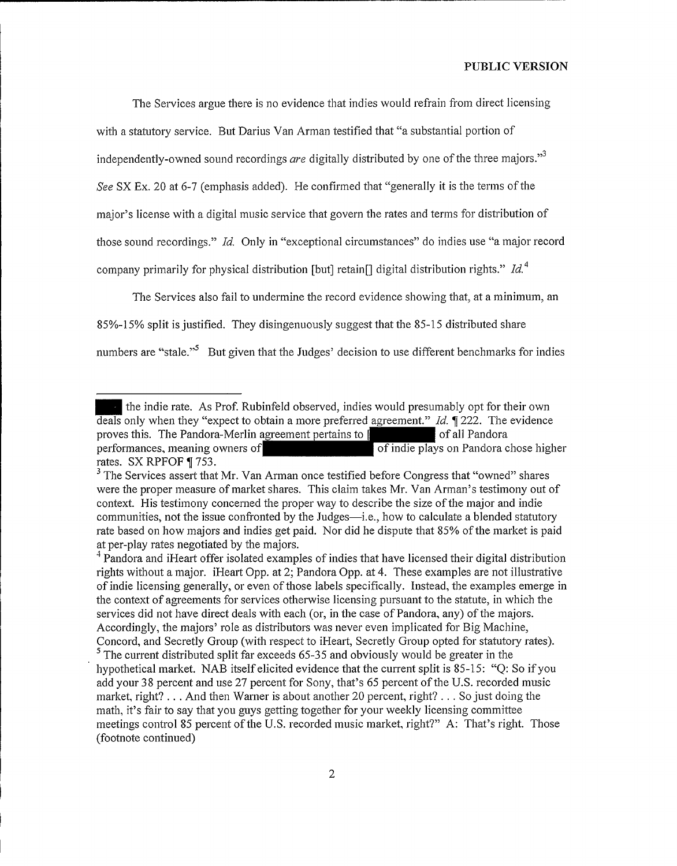The Services argue there is no evidence that indies would refrain from direct licensing with a statutory service. But Darius Van Arman testified that "a substantial portion of independently-owned sound recordings *are* digitally distributed by one of the three majors."<sup>3</sup> See SX Ex. 20 at 6-7 (emphasis added). He confirmed that "generally it is the terms of the major's license with a digital music service that govern the rates and terms for distribution of those sound recordings." Id. Only in "exceptional circumstances" do indies use "a major record company primarily for physical distribution [but] retain[] digital distribution rights."  $Id<sup>4</sup>$ 

The Services also fail to undermine the record evidence showing that, at a minimum, an 85%-15% split isjustified. They disingenuously suggest that the 85-15 distributed share numbers are "stale."<sup>5</sup> But given that the Judges' decision to use different benchmarks for indies

the indie rate. As Prof. Rubinfeld observed, indies would presumably opt for their own deals only when they "expect to obtain a more preferred agreement." Id.  $\parallel$  222. The evidence proves this. The Pandora-Merlin agreement pertains to  $\parallel$  set of all Pandora proves this. The Pandora-Merlin agreement pertains to [ performances, meaning owners of of indie plays on Pandora chose higher rates. SX RPFOF ¶ 753.

<sup>&</sup>lt;sup>3</sup> The Services assert that Mr. Van Arman once testified before Congress that "owned" shares were the proper measure of market shares. This claim takes Mr. Van Arman's testimony out of context. His testimony concerned the proper way to describe the size of the major and indie communities, not the issue confronted by the Judges—i.e., how to calculate a blended statutory rate based on how majors and indies get paid. Nor did he dispute that 85% of the market is paid at per-play rates negotiated by the majors.

<sup>&</sup>lt;sup>4</sup> Pandora and iHeart offer isolated examples of indies that have licensed their digital distribution rights without a major. iHeart Opp. at 2; Pandora Opp. at 4. These examples are not illustrative of indie licensing generally, or even of those labels specifically. Instead, the examples emerge in the context of agreements for services otherwise licensing pursuant to the statute, in which the services did not have direct deals with each (or, in the case of Pandora, any) of the majors. Accordingly, the majors' role as distributors was never even implicated for Big Machine, Concord, and Secretly Group (with respect to iHeart, Secretly Group opted for statutory rates).  $<sup>5</sup>$  The current distributed split far exceeds 65-35 and obviously would be greater in the</sup> hypothetical market. NAB itself elicited evidence that the current split is 85-15: "Q: So ifyou add your 38 percent and use 27 percent for Sony, that's 65 percent ofthe U.S. recorded music market, right?... And then Warner is about another 20 percent, right?... So just doing the math, it's fair to say that you guys getting together for your weekly licensing committee meetings control 85 percent of the U.S. recorded music market, right?" A: That's right. Those (footnote continued)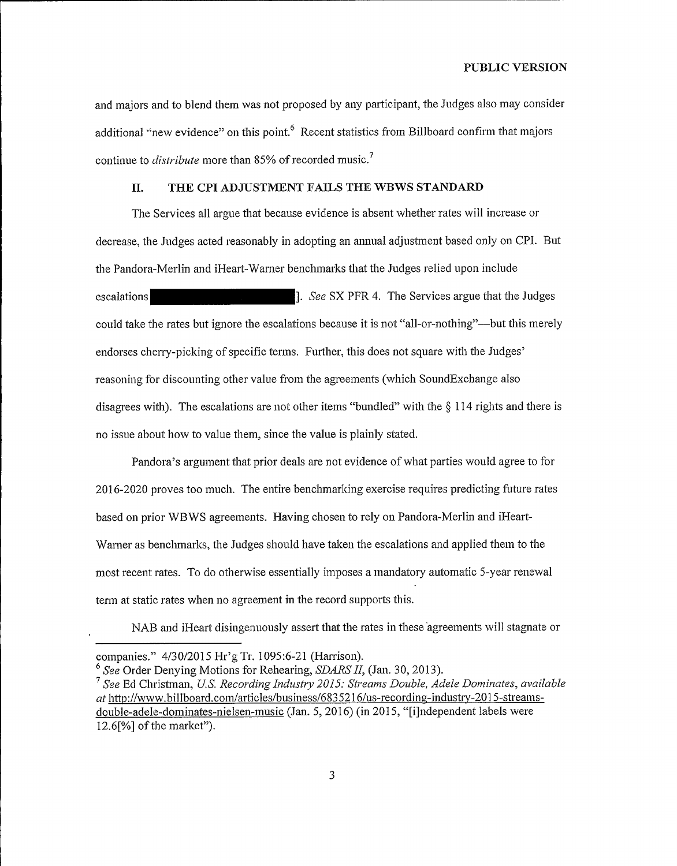and majors and to blend them was not proposed by any participant, the Judges also may consider additional "new evidence" on this point. Recent statistics from Billboard confirm that majors continue to *distribute* more than 85% of recorded music.<sup>7</sup>

### II. THE CPI ADJUSTMENT FAILS THE WBWS STANDARD

The Services all argue that because evidence is absent whether rates will increase or decrease, the Judges acted reasonably in adopting an annual adjustment based only on CPI. But the Pandora-Merlin and iHeart-Warner benchmarks that the Judges relied upon include escalations **Example 2.1 See SX PFR 4.** The Services argue that the Judges could take the rates but ignore the escalations because it is not "all-or-nothing"—but this merely endorses cherry-picking of specific terms. Further, this does not square with the Judges' reasoning for discounting other value from the agreements (which SoundExchange also<br>disagrees with). The escalations are not other items "bundled" with the § 114 rights and there is no issue about how to value them, since the value is plainly stated.

Pandora's argument that prior deals are not evidence of what parties would agree to for 2016-2020 proves too much. The entire benchmarking exercise requires predicting future rates based on prior WBWS agreements. Having chosen to rely on Pandora-Merlin and iHeart-Warner as benchmarks, the Judges should have taken the escalations and applied them to the most recent rates. To do otherwise essentially imposes a mandatory automatic 5-year renewal term at static rates when no agreement in the record supports this.

NAB and iHeart disingenuously assert that the rates in these agreements will stagnate or

companies." 4/30/2015 Hr'g Tr. 1095:6-21 (Harrison).

 $6$  See Order Denying Motions for Rehearing, SDARS II, (Jan. 30, 2013).

 $<sup>7</sup>$  See Ed Christman, U.S. Recording Industry 2015: Streams Double, Adele Dominates, available</sup> at htto://www.billboard.corn/articles/business/6835216/us-recording-industrv-2015-streamsdouble-adele-dominates-nielsen-music (Jan. 5, 2016) (in 2015, "[i]ndependent labels were  $12.6$ [%] of the market").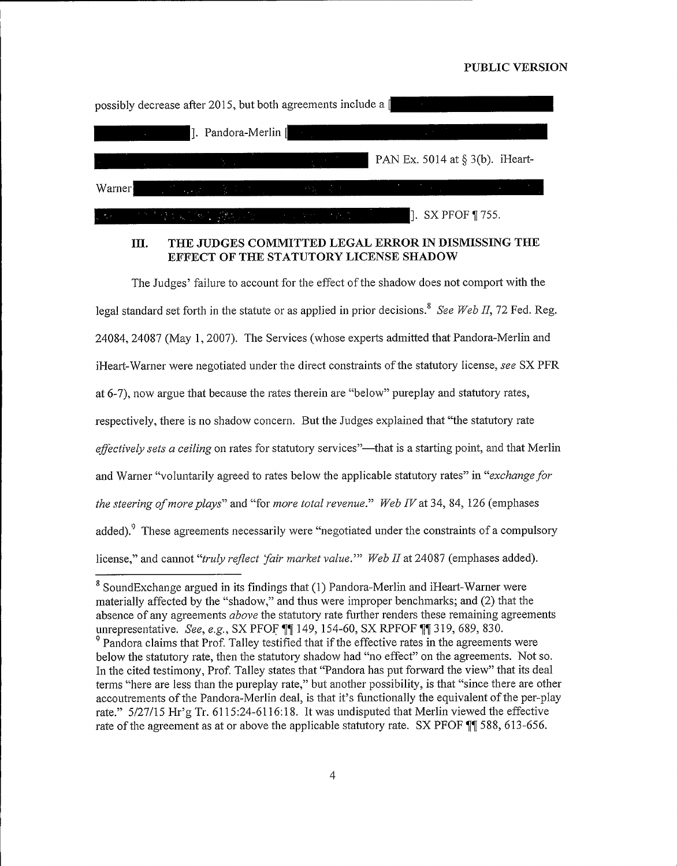# PUBLIC VERSION

|                                                                                                                                                                                                                                      | possibly decrease after 2015, but both agreements include a [                                                                                                                                                                                         |                                                                                                                                                                                                                                                                                          |  |
|--------------------------------------------------------------------------------------------------------------------------------------------------------------------------------------------------------------------------------------|-------------------------------------------------------------------------------------------------------------------------------------------------------------------------------------------------------------------------------------------------------|------------------------------------------------------------------------------------------------------------------------------------------------------------------------------------------------------------------------------------------------------------------------------------------|--|
| <u>the contract of the contract of the contract of the contract of the contract of the contract of the contract of the contract of the contract of the contract of the contract of the contract of the contract of the contract </u> |                                                                                                                                                                                                                                                       |                                                                                                                                                                                                                                                                                          |  |
|                                                                                                                                                                                                                                      | $\mathcal{A}^{\mathcal{A}}$ and the set of the set of the set of $\mathcal{B}^{\mathcal{A}}$ . The set of the set of the set of the set of the set of the set of the set of the set of the set of the set of the set of the set of the set of the set | PAN Ex. 5014 at $\S$ 3(b). iHeart-                                                                                                                                                                                                                                                       |  |
| Warner                                                                                                                                                                                                                               |                                                                                                                                                                                                                                                       | しょうかん あいかい こうきょうしょう こうしょうしょうしょう                                                                                                                                                                                                                                                          |  |
|                                                                                                                                                                                                                                      |                                                                                                                                                                                                                                                       | $\Box$ the contribution of $\Box$ $\partial \Lambda$ . The contribution of $\Box$ is $\Box$ is $\Box$ is $\Box$ is $\Box$ . $\Box$ is $\Box$ is $\Box$ is $\Box$ is $\Box$ is $\Box$ is $\Box$ is $\Box$ is $\Box$ is $\Box$ is $\Box$ is $\Box$ is $\Box$ is $\Box$ is $\Box$ is $\Box$ |  |

# III. THE JUDGES COMMITTED LEGAL ERROR IN DISMISSING THE EFFECT OF THE STATUTORY LICENSE SHADOW

The Judges' failure to account for the effect of the shadow does not comport with the legal standard set forth in the statute or as applied in prior decisions.<sup>8</sup> See Web II, 72 Fed. Reg. 24084, 24087 (May 1, 2007). The Services (whose experts admitted that Pandora-Merlin and iHeart-Warner were negotiated under the direct constraints of the statutory license, see SX PFR at 6-7), now argue that because the rates therein are "below" pureplay and statutory rates, respectively, there is no shadow concern. But the Judges explained that "the statutory rate  $effectively sets a ceiling$  on rates for statutory services"—that is a starting point, and that Merlin and Warner "voluntarily agreed to rates below the applicable statutory rates" in "exchange for the steering of more plays" and "for more total revenue." Web IV at 34, 84, 126 (emphases added). These agreements necessarily were "negotiated under the constraints of a compulsory license," and cannot "truly reflect 'fair market value."" Web II at 24087 (emphases added).

<sup>&</sup>lt;sup>8</sup> SoundExchange argued in its findings that (1) Pandora-Merlin and iHeart-Warner were materially affected by the "shadow," and thus were improper benchmarks; and (2) that the absence of any agreements *above* the statutory rate further renders these remaining agreements unrepresentative. See, e.g., SX PFOF  $\P$  149, 154-60, SX RPFOF  $\P$  319, 689, 830.

 $\degree$  Pandora claims that Prof. Talley testified that if the effective rates in the agreements were below the statutory rate, then the statutory shadow had "no effect" on the agreements. Not so. In the cited testimony, Prof. Talley states that "Pandora has put forward the view" that its deal terms "here are less than the pureplay rate," but another possibility, is that "since there are other accoutrements of the Pandora-Merlin deal, is that it's functionally the equivalent of the per-play rate." 5/27/15 Hr'g Tr. 6115:24-6116:18. It was undisputed that Merlin viewed the effective rate of the agreement as at or above the applicable statutory rate. SX PFOF  $\P$  588, 613-656.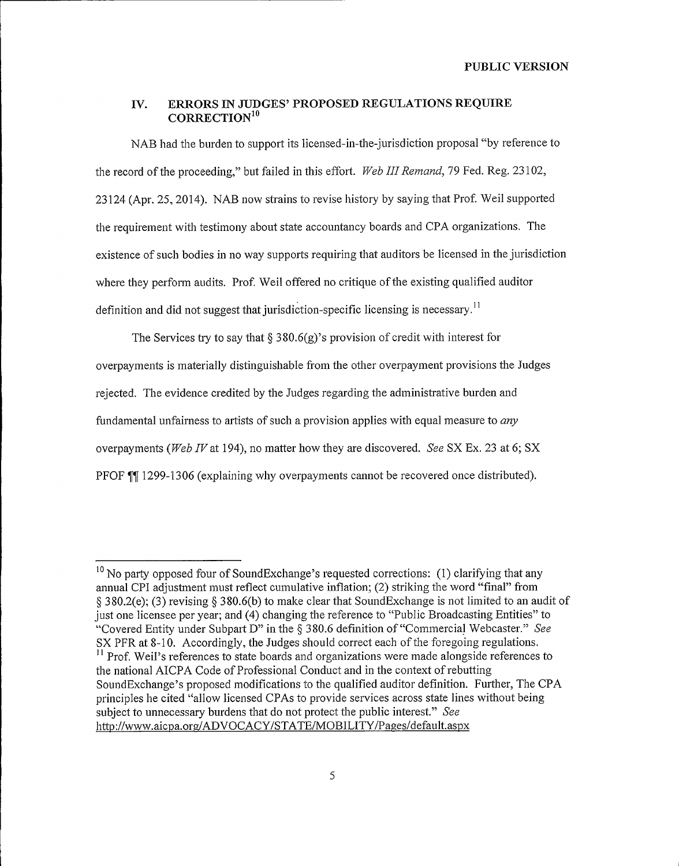PUBLIC VERSION

### IV. ERRORS IN JUDGES' PROPOSED REGULATIONS REQUIRE CORRECTION<sup>10</sup>

NAB had the burden to support its licensed-in-the-jurisdiction proposal "by reference to the record of the proceeding," but failed in this effort. Web III Remand, 79 Fed. Reg. 23102, 23124 (Apr. 25, 2014). NAB now strains to revise history by saying that Prof. Weil supported the requirement with testimony about state accountancy boards and CPA organizations. The existence of such bodies in no way supports requiring that auditors be licensed in the jurisdiction where they perform audits. Prof. Weil offered no critique of the existing qualified auditor definition and did not suggest that jurisdiction-specific licensing is necessary.<sup>11</sup>

The Services try to say that  $\S 380.6(g)$ 's provision of credit with interest for overpayments is materially distinguishable from the other overpayment provisions the Judges rejected. The evidence credited by the Judges regarding the administrative burden and fundamental unfairness to artists of such a provision applies with equal measure to  $any$ overpayments (Web IV at 194), no matter how they are discovered. See SX Ex. 23 at 6; SX PFOF TI 1299-1306 (explaining why overpayments cannot be recovered once distributed).

 $10$  No party opposed four of SoundExchange's requested corrections: (1) clarifying that any annual CPI adjustment must reflect cumulative inflation; (2) striking the word "final" from <sup>g</sup> 380.2(e); (3) revising \$ 380.6(b) to make clear that SoundExchange is not limited to an audit of just one licensee per year; and (4) changing the reference to "Public Broadcasting Entities" to "Covered Entity under Subpart D" in the § 380.6 definition of "Commercial Webcaster." See SX PFR at 8-10. Accordingly, the Judges should correct each of the foregoing regulations. <sup>11</sup> Prof. Weil's references to state boards and organizations were made alongside references to the national AICPA Code of Professional Conduct and in the context of rebutting SoundExchange's proposed modifications to the qualified auditor definition. Further, The CPA principles he cited "allow licensed CPAs to provide services across state lines without being subject to unnecessary burdens that do not protect the public interest." See http://www.aicpa.org/ADVOCACY/STATE/MOBILITY/Pages/default.aspx